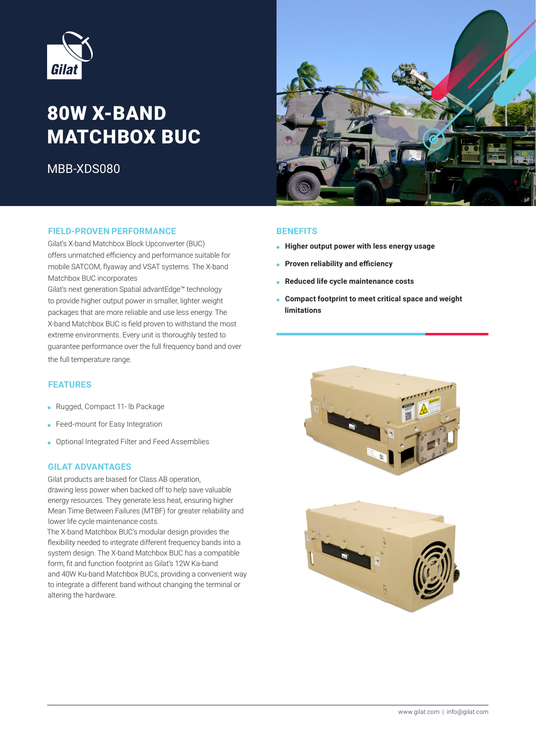

# 80W X-BAND **MATCHBOX BUC**

MBB-XDS080



#### **FIELD-PROVEN PERFORMANCE**

Gilat's X-band Matchbox Block Upconverter (BUC) offers unmatched efficiency and performance suitable for mobile SATCOM, flyaway and VSAT systems. The X-band Matchbox BUC incorporates

Gilat's next generation Spatial advantEdge<sup>™</sup> technology to provide higher output power in smaller, lighter weight packages that are more reliable and use less energy. The X-band Matchbox BUC is field proven to withstand the most extreme environments. Every unit is thoroughly tested to quarantee performance over the full frequency band and over the full temperature range.

#### **FEATURES**

- Rugged, Compact 11- lb Package
- Feed-mount for Easy Integration
- Optional Integrated Filter and Feed Assemblies

#### **GILAT ADVANTAGES**

Gilat products are biased for Class AB operation, drawing less power when backed off to help save valuable energy resources. They generate less heat, ensuring higher Mean Time Between Failures (MTBF) for greater reliability and lower life cycle maintenance costs.

The X-band Matchbox BUC's modular design provides the flexibility needed to integrate different frequency bands into a system design. The X-band Matchbox BUC has a compatible form, fit and function footprint as Gilat's 12W Ka-band and 40W Ku-band Matchbox BUCs, providing a convenient way to integrate a different band without changing the terminal or altering the hardware.

#### **BENEFITS**

- **Higher output power with less energy usage**
- **e** Proven reliability and efficiency
- **e** Reduced life cycle maintenance costs
- **Compact footprint to meet critical space and weight limitations**